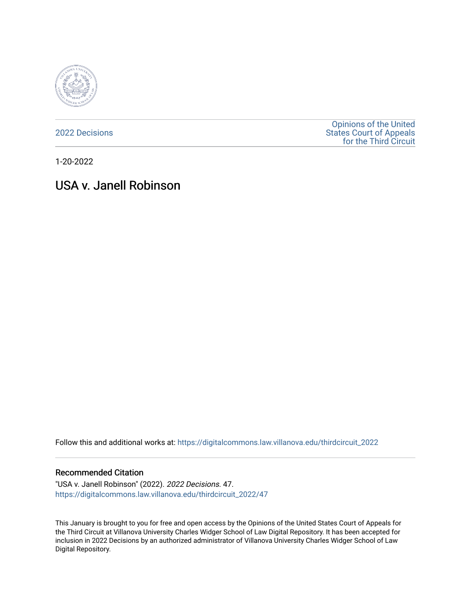

[2022 Decisions](https://digitalcommons.law.villanova.edu/thirdcircuit_2022)

[Opinions of the United](https://digitalcommons.law.villanova.edu/thirdcircuit)  [States Court of Appeals](https://digitalcommons.law.villanova.edu/thirdcircuit)  [for the Third Circuit](https://digitalcommons.law.villanova.edu/thirdcircuit) 

1-20-2022

# USA v. Janell Robinson

Follow this and additional works at: [https://digitalcommons.law.villanova.edu/thirdcircuit\\_2022](https://digitalcommons.law.villanova.edu/thirdcircuit_2022?utm_source=digitalcommons.law.villanova.edu%2Fthirdcircuit_2022%2F47&utm_medium=PDF&utm_campaign=PDFCoverPages) 

#### Recommended Citation

"USA v. Janell Robinson" (2022). 2022 Decisions. 47. [https://digitalcommons.law.villanova.edu/thirdcircuit\\_2022/47](https://digitalcommons.law.villanova.edu/thirdcircuit_2022/47?utm_source=digitalcommons.law.villanova.edu%2Fthirdcircuit_2022%2F47&utm_medium=PDF&utm_campaign=PDFCoverPages)

This January is brought to you for free and open access by the Opinions of the United States Court of Appeals for the Third Circuit at Villanova University Charles Widger School of Law Digital Repository. It has been accepted for inclusion in 2022 Decisions by an authorized administrator of Villanova University Charles Widger School of Law Digital Repository.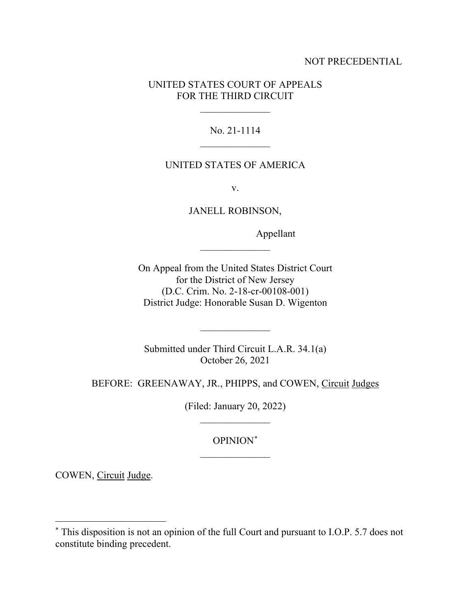### NOT PRECEDENTIAL

### UNITED STATES COURT OF APPEALS FOR THE THIRD CIRCUIT

 $\frac{1}{2}$ 

### No. 21-1114  $\frac{1}{2}$

#### UNITED STATES OF AMERICA

v.

JANELL ROBINSON,

 $\overline{\phantom{a}}$  , where  $\overline{\phantom{a}}$ 

Appellant

On Appeal from the United States District Court for the District of New Jersey (D.C. Crim. No. 2-18-cr-00108-001) District Judge: Honorable Susan D. Wigenton

Submitted under Third Circuit L.A.R. 34.1(a) October 26, 2021

 $\overline{\phantom{a}}$  , where  $\overline{\phantom{a}}$ 

BEFORE: GREENAWAY, JR., PHIPPS, and COWEN, Circuit Judges

(Filed: January 20, 2022)  $\overline{\phantom{a}}$  , where  $\overline{\phantom{a}}$ 

## OPINION\*  $\frac{1}{2}$

COWEN, Circuit Judge.

<sup>\*</sup> This disposition is not an opinion of the full Court and pursuant to I.O.P. 5.7 does not constitute binding precedent.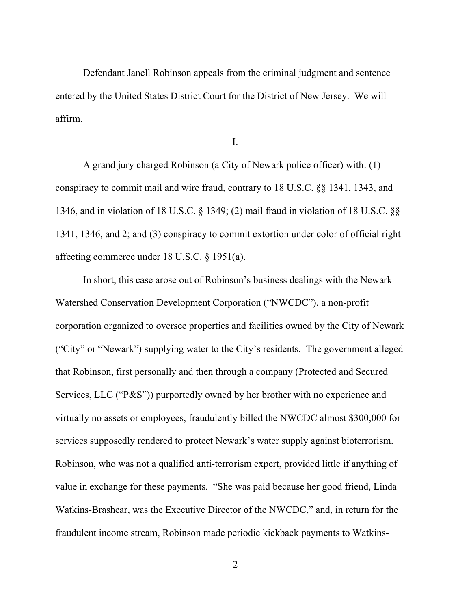Defendant Janell Robinson appeals from the criminal judgment and sentence entered by the United States District Court for the District of New Jersey. We will affirm.

I.

A grand jury charged Robinson (a City of Newark police officer) with: (1) conspiracy to commit mail and wire fraud, contrary to 18 U.S.C. §§ 1341, 1343, and 1346, and in violation of 18 U.S.C. § 1349; (2) mail fraud in violation of 18 U.S.C. §§ 1341, 1346, and 2; and (3) conspiracy to commit extortion under color of official right affecting commerce under 18 U.S.C. § 1951(a).

In short, this case arose out of Robinson's business dealings with the Newark Watershed Conservation Development Corporation ("NWCDC"), a non-profit corporation organized to oversee properties and facilities owned by the City of Newark ("City" or "Newark") supplying water to the City's residents. The government alleged that Robinson, first personally and then through a company (Protected and Secured Services, LLC ("P&S")) purportedly owned by her brother with no experience and virtually no assets or employees, fraudulently billed the NWCDC almost \$300,000 for services supposedly rendered to protect Newark's water supply against bioterrorism. Robinson, who was not a qualified anti-terrorism expert, provided little if anything of value in exchange for these payments. "She was paid because her good friend, Linda Watkins-Brashear, was the Executive Director of the NWCDC," and, in return for the fraudulent income stream, Robinson made periodic kickback payments to Watkins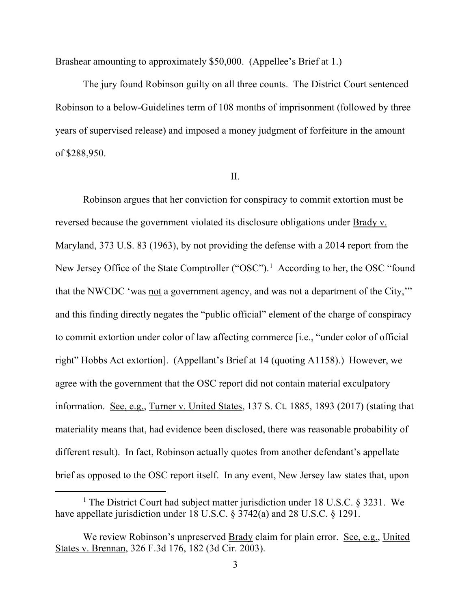Brashear amounting to approximately \$50,000. (Appellee's Brief at 1.)

The jury found Robinson guilty on all three counts. The District Court sentenced Robinson to a below-Guidelines term of 108 months of imprisonment (followed by three years of supervised release) and imposed a money judgment of forfeiture in the amount of \$288,950.

#### II.

Robinson argues that her conviction for conspiracy to commit extortion must be reversed because the government violated its disclosure obligations under Brady v. Maryland, 373 U.S. 83 (1963), by not providing the defense with a 2014 report from the New Jersey Office of the State Comptroller ("OSC").<sup>1</sup> According to her, the OSC "found that the NWCDC 'was not a government agency, and was not a department of the City,'" and this finding directly negates the "public official" element of the charge of conspiracy to commit extortion under color of law affecting commerce [i.e., "under color of official right" Hobbs Act extortion]. (Appellant's Brief at 14 (quoting A1158).) However, we agree with the government that the OSC report did not contain material exculpatory information. See, e.g., Turner v. United States, 137 S. Ct. 1885, 1893 (2017) (stating that materiality means that, had evidence been disclosed, there was reasonable probability of different result). In fact, Robinson actually quotes from another defendant's appellate brief as opposed to the OSC report itself. In any event, New Jersey law states that, upon

<sup>&</sup>lt;sup>1</sup> The District Court had subject matter jurisdiction under 18 U.S.C. § 3231. We have appellate jurisdiction under 18 U.S.C. § 3742(a) and 28 U.S.C. § 1291.

We review Robinson's unpreserved Brady claim for plain error. See, e.g., United States v. Brennan, 326 F.3d 176, 182 (3d Cir. 2003).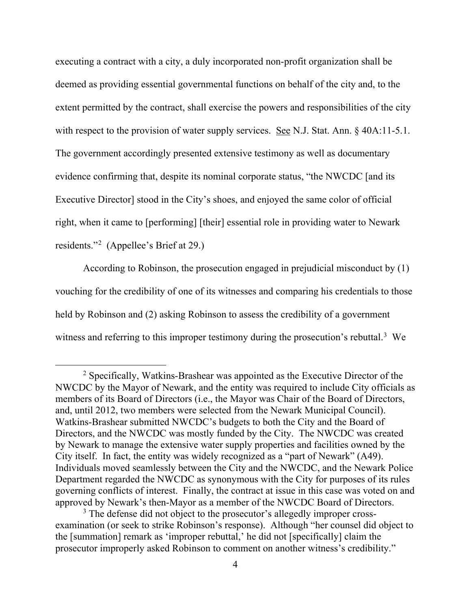executing a contract with a city, a duly incorporated non-profit organization shall be deemed as providing essential governmental functions on behalf of the city and, to the extent permitted by the contract, shall exercise the powers and responsibilities of the city with respect to the provision of water supply services. <u>See</u> N.J. Stat. Ann. § 40A:11-5.1. The government accordingly presented extensive testimony as well as documentary evidence confirming that, despite its nominal corporate status, "the NWCDC [and its Executive Director] stood in the City's shoes, and enjoyed the same color of official right, when it came to [performing] [their] essential role in providing water to Newark residents."2 (Appellee's Brief at 29.)

According to Robinson, the prosecution engaged in prejudicial misconduct by (1) vouching for the credibility of one of its witnesses and comparing his credentials to those held by Robinson and (2) asking Robinson to assess the credibility of a government witness and referring to this improper testimony during the prosecution's rebuttal.<sup>3</sup> We

 $2$  Specifically, Watkins-Brashear was appointed as the Executive Director of the NWCDC by the Mayor of Newark, and the entity was required to include City officials as members of its Board of Directors (i.e., the Mayor was Chair of the Board of Directors, and, until 2012, two members were selected from the Newark Municipal Council). Watkins-Brashear submitted NWCDC's budgets to both the City and the Board of Directors, and the NWCDC was mostly funded by the City. The NWCDC was created by Newark to manage the extensive water supply properties and facilities owned by the City itself. In fact, the entity was widely recognized as a "part of Newark" (A49). Individuals moved seamlessly between the City and the NWCDC, and the Newark Police Department regarded the NWCDC as synonymous with the City for purposes of its rules governing conflicts of interest. Finally, the contract at issue in this case was voted on and approved by Newark's then-Mayor as a member of the NWCDC Board of Directors.

 $3$  The defense did not object to the prosecutor's allegedly improper crossexamination (or seek to strike Robinson's response). Although "her counsel did object to the [summation] remark as 'improper rebuttal,' he did not [specifically] claim the prosecutor improperly asked Robinson to comment on another witness's credibility."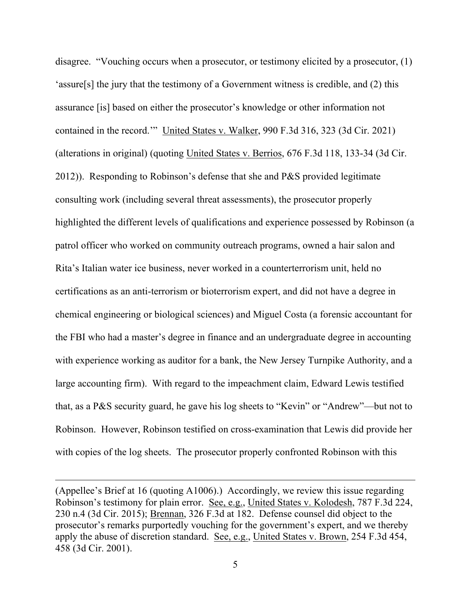disagree. "Vouching occurs when a prosecutor, or testimony elicited by a prosecutor, (1) 'assure[s] the jury that the testimony of a Government witness is credible, and (2) this assurance [is] based on either the prosecutor's knowledge or other information not contained in the record.'" United States v. Walker, 990 F.3d 316, 323 (3d Cir. 2021) (alterations in original) (quoting United States v. Berrios, 676 F.3d 118, 133-34 (3d Cir. 2012)). Responding to Robinson's defense that she and P&S provided legitimate consulting work (including several threat assessments), the prosecutor properly highlighted the different levels of qualifications and experience possessed by Robinson (a patrol officer who worked on community outreach programs, owned a hair salon and Rita's Italian water ice business, never worked in a counterterrorism unit, held no certifications as an anti-terrorism or bioterrorism expert, and did not have a degree in chemical engineering or biological sciences) and Miguel Costa (a forensic accountant for the FBI who had a master's degree in finance and an undergraduate degree in accounting with experience working as auditor for a bank, the New Jersey Turnpike Authority, and a large accounting firm). With regard to the impeachment claim, Edward Lewis testified that, as a P&S security guard, he gave his log sheets to "Kevin" or "Andrew"—but not to Robinson. However, Robinson testified on cross-examination that Lewis did provide her with copies of the log sheets. The prosecutor properly confronted Robinson with this

<sup>(</sup>Appellee's Brief at 16 (quoting A1006).) Accordingly, we review this issue regarding Robinson's testimony for plain error. See, e.g., United States v. Kolodesh, 787 F.3d 224, 230 n.4 (3d Cir. 2015); Brennan, 326 F.3d at 182. Defense counsel did object to the prosecutor's remarks purportedly vouching for the government's expert, and we thereby apply the abuse of discretion standard. See, e.g., United States v. Brown, 254 F.3d 454, 458 (3d Cir. 2001).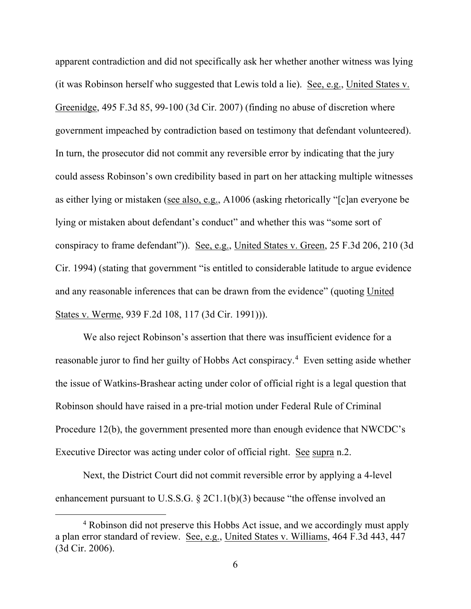apparent contradiction and did not specifically ask her whether another witness was lying (it was Robinson herself who suggested that Lewis told a lie). See, e.g., United States v. Greenidge, 495 F.3d 85, 99-100 (3d Cir. 2007) (finding no abuse of discretion where government impeached by contradiction based on testimony that defendant volunteered). In turn, the prosecutor did not commit any reversible error by indicating that the jury could assess Robinson's own credibility based in part on her attacking multiple witnesses as either lying or mistaken (see also, e.g., A1006 (asking rhetorically "[c]an everyone be lying or mistaken about defendant's conduct" and whether this was "some sort of conspiracy to frame defendant")). See, e.g., United States v. Green, 25 F.3d 206, 210 (3d Cir. 1994) (stating that government "is entitled to considerable latitude to argue evidence and any reasonable inferences that can be drawn from the evidence" (quoting United States v. Werme, 939 F.2d 108, 117 (3d Cir. 1991))).

We also reject Robinson's assertion that there was insufficient evidence for a reasonable juror to find her guilty of Hobbs Act conspiracy. <sup>4</sup> Even setting aside whether the issue of Watkins-Brashear acting under color of official right is a legal question that Robinson should have raised in a pre-trial motion under Federal Rule of Criminal Procedure 12(b), the government presented more than enough evidence that NWCDC's Executive Director was acting under color of official right. See supra n.2.

Next, the District Court did not commit reversible error by applying a 4-level enhancement pursuant to U.S.S.G. § 2C1.1(b)(3) because "the offense involved an

<sup>4</sup> Robinson did not preserve this Hobbs Act issue, and we accordingly must apply a plan error standard of review. See, e.g., United States v. Williams, 464 F.3d 443, 447 (3d Cir. 2006).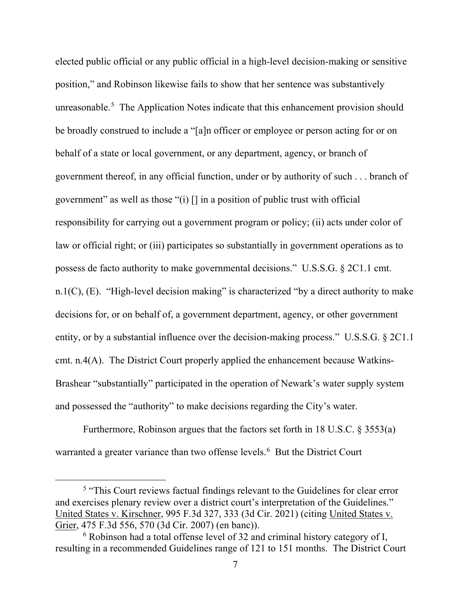elected public official or any public official in a high-level decision-making or sensitive position," and Robinson likewise fails to show that her sentence was substantively unreasonable.<sup>5</sup> The Application Notes indicate that this enhancement provision should be broadly construed to include a "[a]n officer or employee or person acting for or on behalf of a state or local government, or any department, agency, or branch of government thereof, in any official function, under or by authority of such . . . branch of government" as well as those "(i)  $\lceil \cdot \rceil$  in a position of public trust with official responsibility for carrying out a government program or policy; (ii) acts under color of law or official right; or (iii) participates so substantially in government operations as to possess de facto authority to make governmental decisions." U.S.S.G. § 2C1.1 cmt. n.1(C),  $(E)$ . "High-level decision making" is characterized "by a direct authority to make decisions for, or on behalf of, a government department, agency, or other government entity, or by a substantial influence over the decision-making process." U.S.S.G. § 2C1.1 cmt. n.4(A). The District Court properly applied the enhancement because Watkins-Brashear "substantially" participated in the operation of Newark's water supply system and possessed the "authority" to make decisions regarding the City's water.

Furthermore, Robinson argues that the factors set forth in 18 U.S.C. § 3553(a) warranted a greater variance than two offense levels.<sup>6</sup> But the District Court

<sup>&</sup>lt;sup>5</sup> "This Court reviews factual findings relevant to the Guidelines for clear error and exercises plenary review over a district court's interpretation of the Guidelines." United States v. Kirschner, 995 F.3d 327, 333 (3d Cir. 2021) (citing United States v. Grier, 475 F.3d 556, 570 (3d Cir. 2007) (en banc)).

 $6$  Robinson had a total offense level of 32 and criminal history category of I, resulting in a recommended Guidelines range of 121 to 151 months. The District Court